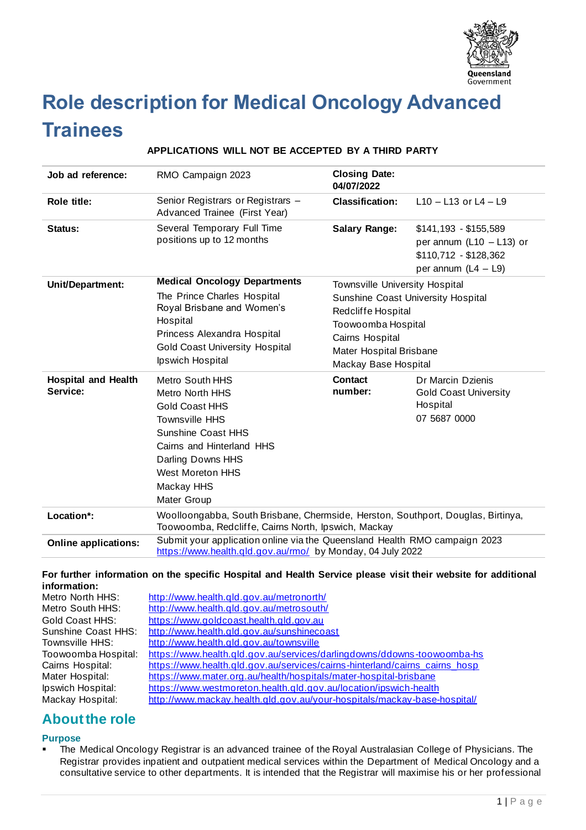

# **Role description for Medical Oncology Advanced Trainees**

# **APPLICATIONS WILL NOT BE ACCEPTED BY A THIRD PARTY**

| Job ad reference:                      | RMO Campaign 2023                                                                                                                                                                                                           | <b>Closing Date:</b><br>04/07/2022                                                                                                                                                            |                                                                                                       |
|----------------------------------------|-----------------------------------------------------------------------------------------------------------------------------------------------------------------------------------------------------------------------------|-----------------------------------------------------------------------------------------------------------------------------------------------------------------------------------------------|-------------------------------------------------------------------------------------------------------|
| Role title:                            | Senior Registrars or Registrars -<br>Advanced Trainee (First Year)                                                                                                                                                          | <b>Classification:</b>                                                                                                                                                                        | $L$ 10 - L13 or L4 - L9                                                                               |
| Status:                                | Several Temporary Full Time<br>positions up to 12 months                                                                                                                                                                    | <b>Salary Range:</b>                                                                                                                                                                          | $$141,193 - $155,589$<br>per annum $(L10 - L13)$ or<br>\$110,712 - \$128,362<br>per annum $(L4 - L9)$ |
| Unit/Department:                       | <b>Medical Oncology Departments</b><br>The Prince Charles Hospital<br>Royal Brisbane and Women's<br>Hospital<br>Princess Alexandra Hospital<br><b>Gold Coast University Hospital</b><br>Ipswich Hospital                    | Townsville University Hospital<br><b>Sunshine Coast University Hospital</b><br>Redcliffe Hospital<br>Toowoomba Hospital<br>Cairns Hospital<br>Mater Hospital Brisbane<br>Mackay Base Hospital |                                                                                                       |
| <b>Hospital and Health</b><br>Service: | <b>Metro South HHS</b><br>Metro North HHS<br><b>Gold Coast HHS</b><br><b>Townsville HHS</b><br>Sunshine Coast HHS<br>Cairns and Hinterland HHS<br>Darling Downs HHS<br><b>West Moreton HHS</b><br>Mackay HHS<br>Mater Group | Contact<br>number:                                                                                                                                                                            | Dr Marcin Dzienis<br><b>Gold Coast University</b><br>Hospital<br>07 5687 0000                         |
| Location*:                             | Woolloongabba, South Brisbane, Chermside, Herston, Southport, Douglas, Birtinya,<br>Toowoomba, Redcliffe, Cairns North, Ipswich, Mackay                                                                                     |                                                                                                                                                                                               |                                                                                                       |
| <b>Online applications:</b>            | Submit your application online via the Queensland Health RMO campaign 2023<br>https://www.health.qld.gov.au/rmo/ by Monday, 04 July 2022                                                                                    |                                                                                                                                                                                               |                                                                                                       |

#### **For further information on the specific Hospital and Health Service please visit their website for additional information:**

| Metro North HHS:    | http://www.health.qld.gov.au/metronorth/                                    |
|---------------------|-----------------------------------------------------------------------------|
| Metro South HHS:    | http://www.health.qld.gov.au/metrosouth/                                    |
| Gold Coast HHS:     | https://www.goldcoast.health.gld.gov.au                                     |
| Sunshine Coast HHS: | http://www.health.qld.gov.au/sunshinecoast                                  |
| Townsville HHS:     | http://www.health.qld.gov.au/townsville                                     |
| Toowoomba Hospital: | https://www.health.qld.gov.au/services/darlingdowns/ddowns-toowoomba-hs     |
| Cairns Hospital:    | https://www.health.qld.gov.au/services/cairns-hinterland/cairns_cairns_hosp |
| Mater Hospital:     | https://www.mater.org.au/health/hospitals/mater-hospital-brisbane           |
| Ipswich Hospital:   | https://www.westmoreton.health.qld.gov.au/location/ipswich-health           |
| Mackay Hospital:    | http://www.mackay.health.gld.gov.au/your-hospitals/mackay-base-hospital/    |
|                     |                                                                             |

# **About the role**

# **Purpose**

The Medical Oncology Registrar is an advanced trainee of the Royal Australasian College of Physicians. The Registrar provides inpatient and outpatient medical services within the Department of Medical Oncology and a consultative service to other departments. It is intended that the Registrar will maximise his or her professional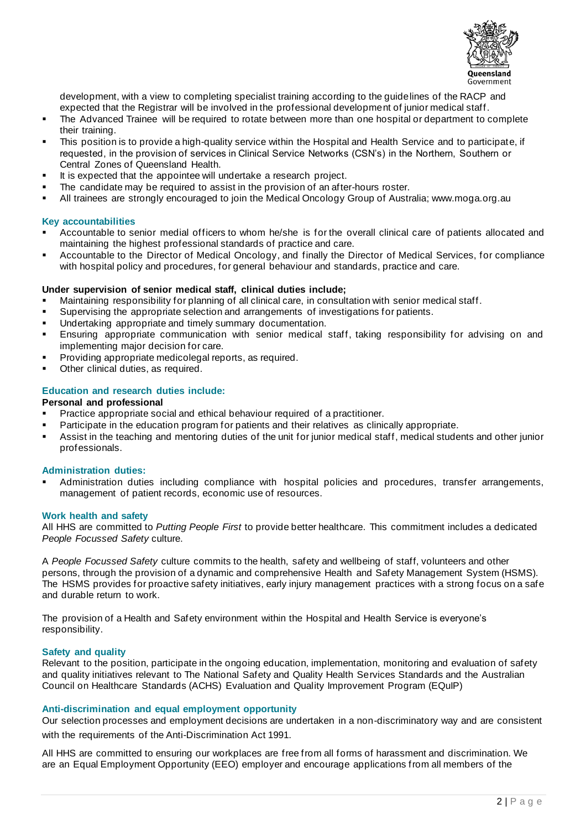

development, with a view to completing specialist training according to the guidelines of the RACP and expected that the Registrar will be involved in the professional development of junior medical staff.

- The Advanced Trainee will be required to rotate between more than one hospital or department to complete their training.
- This position is to provide a high-quality service within the Hospital and Health Service and to participate, if requested, in the provision of services in Clinical Service Networks (CSN's) in the Northern, Southern or Central Zones of Queensland Health.
- It is expected that the appointee will undertake a research project.
- The candidate may be required to assist in the provision of an after-hours roster.
- All trainees are strongly encouraged to join the Medical Oncology Group of Australia; www.moga.org.au

#### **Key accountabilities**

- Accountable to senior medial officers to whom he/she is for the overall clinical care of patients allocated and maintaining the highest professional standards of practice and care.
- Accountable to the Director of Medical Oncology, and finally the Director of Medical Services, for compliance with hospital policy and procedures, for general behaviour and standards, practice and care.

#### **Under supervision of senior medical staff, clinical duties include;**

- Maintaining responsibility for planning of all clinical care, in consultation with senior medical staff.
- **EXECT** Supervising the appropriate selection and arrangements of investigations for patients.
- Undertaking appropriate and timely summary documentation.
- Ensuring appropriate communication with senior medical staff, taking responsibility for advising on and implementing major decision for care.
- Providing appropriate medicolegal reports, as required.
- Other clinical duties, as required.

### **Education and research duties include:**

#### **Personal and professional**

- Practice appropriate social and ethical behaviour required of a practitioner.
- **•** Participate in the education program for patients and their relatives as clinically appropriate.
- Assist in the teaching and mentoring duties of the unit for junior medical staff, medical students and other junior professionals.

#### **Administration duties:**

Administration duties including compliance with hospital policies and procedures, transfer arrangements, management of patient records, economic use of resources.

#### **Work health and safety**

All HHS are committed to *Putting People First* to provide better healthcare. This commitment includes a dedicated *People Focussed Safety* culture.

A *People Focussed Safety* culture commits to the health, safety and wellbeing of staff, volunteers and other persons, through the provision of a dynamic and comprehensive Health and Safety Management System (HSMS). The HSMS provides for proactive safety initiatives, early injury management practices with a strong focus on a safe and durable return to work.

The provision of a Health and Safety environment within the Hospital and Health Service is everyone's responsibility.

#### **Safety and quality**

Relevant to the position, participate in the ongoing education, implementation, monitoring and evaluation of safety and quality initiatives relevant to The National Safety and Quality Health Services Standards and the Australian Council on Healthcare Standards (ACHS) Evaluation and Quality Improvement Program (EQuIP)

#### **Anti-discrimination and equal employment opportunity**

Our selection processes and employment decisions are undertaken in a non-discriminatory way and are consistent with the requirements of the Anti-Discrimination Act 1991.

All HHS are committed to ensuring our workplaces are free from all forms of harassment and discrimination. We are an Equal Employment Opportunity (EEO) employer and encourage applications from all members of the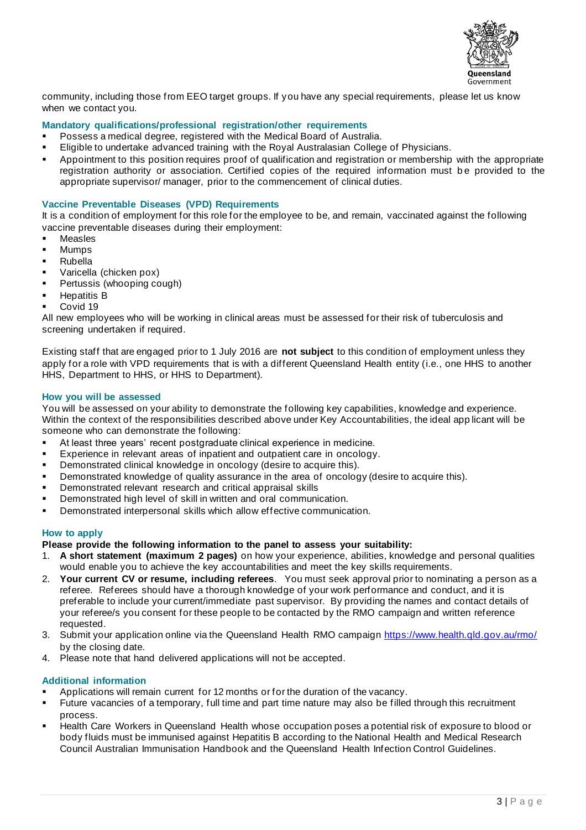

community, including those from EEO target groups. If you have any special requirements, please let us know when we contact you.

# **Mandatory qualifications/professional registration/other requirements**

- Possess a medical degree, registered with the Medical Board of Australia.
- Eligible to undertake advanced training with the Royal Australasian College of Physicians.
- Appointment to this position requires proof of qualification and registration or membership with the appropriate registration authority or association. Certified copies of the required information must be provided to the appropriate supervisor/ manager, prior to the commencement of clinical duties.

#### **Vaccine Preventable Diseases (VPD) Requirements**

It is a condition of employment for this role for the employee to be, and remain, vaccinated against the following vaccine preventable diseases during their employment:

- **Measles**
- **Mumps**
- Rubella
- Varicella (chicken pox)
- **•** Pertussis (whooping cough)
- Hepatitis B
- Covid 19

All new employees who will be working in clinical areas must be assessed for their risk of tuberculosis and screening undertaken if required.

Existing staff that are engaged prior to 1 July 2016 are **not subject** to this condition of employment unless they apply for a role with VPD requirements that is with a different Queensland Health entity (i.e., one HHS to another HHS, Department to HHS, or HHS to Department).

#### **How you will be assessed**

You will be assessed on your ability to demonstrate the following key capabilities, knowledge and experience. Within the context of the responsibilities described above under Key Accountabilities, the ideal app licant will be someone who can demonstrate the following:

- At least three years' recent postgraduate clinical experience in medicine.
- Experience in relevant areas of inpatient and outpatient care in oncology.
- Demonstrated clinical knowledge in oncology (desire to acquire this).
- **•** Demonstrated knowledge of quality assurance in the area of oncology (desire to acquire this).
- **•** Demonstrated relevant research and critical appraisal skills
- **•** Demonstrated high level of skill in written and oral communication.
- Demonstrated interpersonal skills which allow effective communication.

#### **How to apply**

**Please provide the following information to the panel to assess your suitability:**

- 1. **A short statement (maximum 2 pages)** on how your experience, abilities, knowledge and personal qualities would enable you to achieve the key accountabilities and meet the key skills requirements.
- 2. **Your current CV or resume, including referees**. You must seek approval prior to nominating a person as a referee. Referees should have a thorough knowledge of your work performance and conduct, and it is preferable to include your current/immediate past supervisor. By providing the names and contact details of your referee/s you consent for these people to be contacted by the RMO campaign and written reference requested.
- 3. Submit your application online via the Queensland Health RMO campaig[n https://www.health.qld.gov.au/rmo/](https://www.health.qld.gov.au/rmo/) by the closing date.
- 4. Please note that hand delivered applications will not be accepted.

#### **Additional information**

- Applications will remain current for 12 months or for the duration of the vacancy.
- Future vacancies of a temporary, full time and part time nature may also be filled through this recruitment process.
- **EXTER 1** Health Care Workers in Queensland Health whose occupation poses a potential risk of exposure to blood or body fluids must be immunised against Hepatitis B according to the National Health and Medical Research Council Australian Immunisation Handbook and the Queensland Health Infection Control Guidelines.